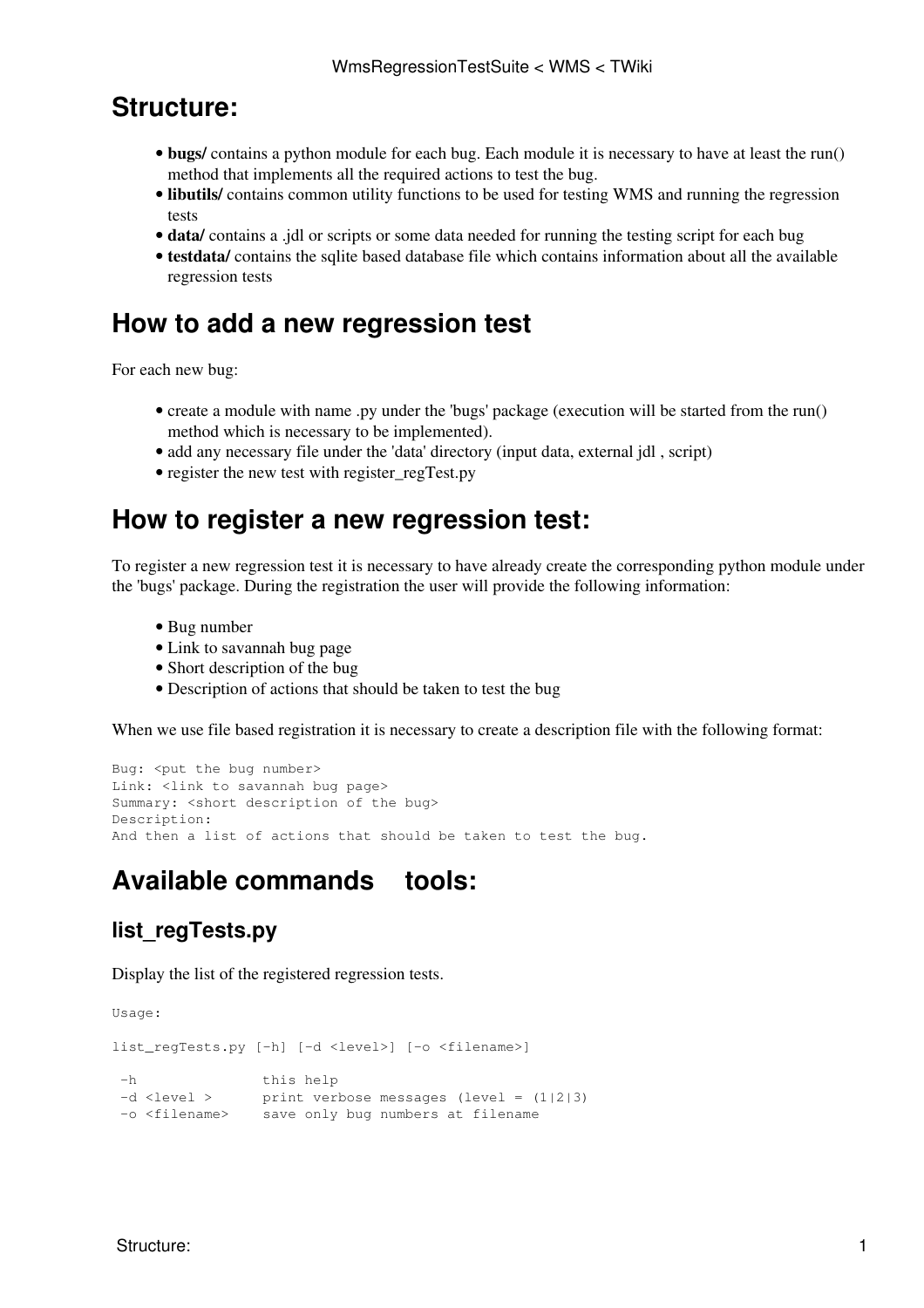### **Structure:**

- bugs/ contains a python module for each bug. Each module it is necessary to have at least the run() method that implements all the required actions to test the bug.
- **libutils/** contains common utility functions to be used for testing WMS and running the regression tests
- **data/** contains a .jdl or scripts or some data needed for running the testing script for each bug
- testdata/ contains the sqlite based database file which contains information about all the available regression tests

## **How to add a new regression test**

For each new bug:

- create a module with name .py under the 'bugs' package (execution will be started from the run() method which is necessary to be implemented).
- add any necessary file under the 'data' directory (input data, external jdl, script)
- register the new test with register regTest.py

## **How to register a new regression test:**

To register a new regression test it is necessary to have already create the corresponding python module under the 'bugs' package. During the registration the user will provide the following information:

- Bug number
- Link to savannah bug page
- Short description of the bug
- Description of actions that should be taken to test the bug

When we use file based registration it is necessary to create a description file with the following format:

```
Bug: < put the bug number>
Link: <link to savannah bug page>
Summary: < short description of the bug>
Description:
And then a list of actions that should be taken to test the bug.
```
# **Available commands tools:**

### **list\_regTests.py**

Display the list of the registered regression tests.

Usage:

```
list_regTests.py [-h] [-d <level>] [-o <filename>]
 -h this help
 -d <level > print verbose messages (level = (1|2|3)
 -o <filename> save only bug numbers at filename
```